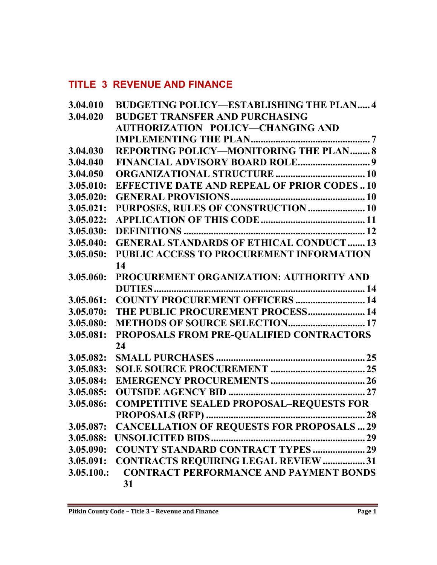# **TITLE 3 REVENUE AND FINANCE**

| 3.04.010   | <b>BUDGETING POLICY-ESTABLISHING THE PLAN 4</b>   |  |
|------------|---------------------------------------------------|--|
| 3.04.020   | <b>BUDGET TRANSFER AND PURCHASING</b>             |  |
|            | AUTHORIZATION POLICY—CHANGING AND                 |  |
|            |                                                   |  |
| 3.04.030   | REPORTING POLICY-MONITORING THE PLAN  8           |  |
| 3.04.040   |                                                   |  |
| 3.04.050   |                                                   |  |
| 3.05.010:  | <b>EFFECTIVE DATE AND REPEAL OF PRIOR CODES10</b> |  |
| 3.05.020:  |                                                   |  |
| 3.05.021:  | PURPOSES, RULES OF CONSTRUCTION  10               |  |
| 3.05.022:  |                                                   |  |
| 3.05.030:  |                                                   |  |
| 3.05.040:  | <b>GENERAL STANDARDS OF ETHICAL CONDUCT13</b>     |  |
| 3.05.050:  | PUBLIC ACCESS TO PROCUREMENT INFORMATION          |  |
|            | 14                                                |  |
| 3.05.060:  | PROCUREMENT ORGANIZATION: AUTHORITY AND           |  |
|            |                                                   |  |
| 3.05.061:  | <b>COUNTY PROCUREMENT OFFICERS  14</b>            |  |
| 3.05.070:  | THE PUBLIC PROCUREMENT PROCESS 14                 |  |
| 3.05.080:  |                                                   |  |
| 3.05.081:  | PROPOSALS FROM PRE-QUALIFIED CONTRACTORS          |  |
|            | 24                                                |  |
| 3.05.082:  |                                                   |  |
| 3.05.083:  |                                                   |  |
| 3.05.084:  |                                                   |  |
| 3.05.085:  |                                                   |  |
| 3.05.086:  | <b>COMPETITIVE SEALED PROPOSAL-REQUESTS FOR</b>   |  |
|            |                                                   |  |
| 3.05.087:  | <b>CANCELLATION OF REQUESTS FOR PROPOSALS  29</b> |  |
| 3.05.088:  |                                                   |  |
| 3.05.090:  | <b>COUNTY STANDARD CONTRACT TYPES  29</b>         |  |
| 3.05.091:  | <b>CONTRACTS REQUIRING LEGAL REVIEW  31</b>       |  |
| 3.05.100.: | <b>CONTRACT PERFORMANCE AND PAYMENT BONDS</b>     |  |
|            | 31                                                |  |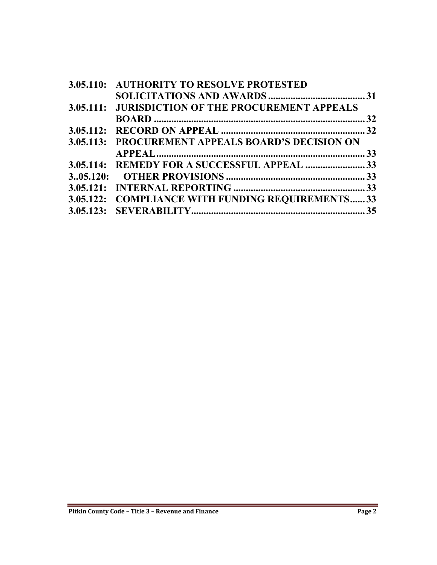| <b>3.05.110: AUTHORITY TO RESOLVE PROTESTED</b>   |  |
|---------------------------------------------------|--|
|                                                   |  |
| 3.05.111: JURISDICTION OF THE PROCUREMENT APPEALS |  |
|                                                   |  |
|                                                   |  |
| 3.05.113: PROCUREMENT APPEALS BOARD'S DECISION ON |  |
|                                                   |  |
|                                                   |  |
|                                                   |  |
|                                                   |  |
| 3.05.122: COMPLIANCE WITH FUNDING REQUIREMENTS 33 |  |
|                                                   |  |
|                                                   |  |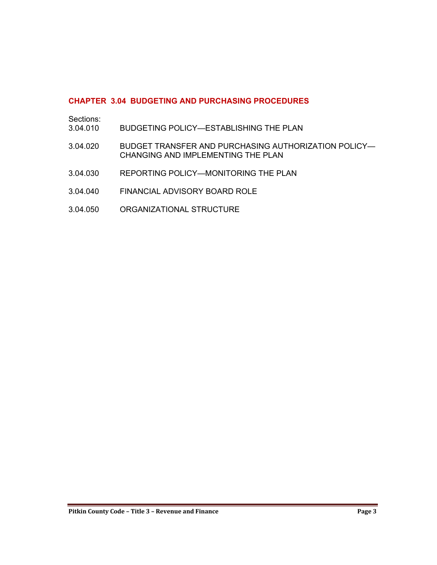# **CHAPTER 3.04 BUDGETING AND PURCHASING PROCEDURES**

| Sections:<br>3.04.010 | BUDGETING POLICY—ESTABLISHING THE PLAN                                                     |
|-----------------------|--------------------------------------------------------------------------------------------|
| 3.04.020              | BUDGET TRANSFER AND PURCHASING AUTHORIZATION POLICY-<br>CHANGING AND IMPLEMENTING THE PLAN |
| 3.04.030              | REPORTING POLICY-MONITORING THE PLAN                                                       |
| 3.04.040              | FINANCIAL ADVISORY BOARD ROLE                                                              |
| 3.04.050              | ORGANIZATIONAL STRUCTURE                                                                   |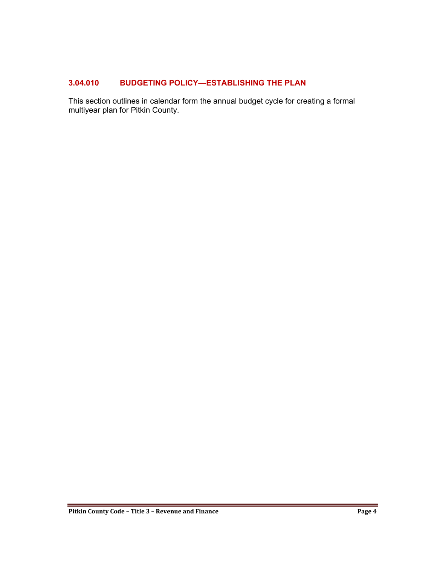# <span id="page-3-0"></span>**3.04.010 BUDGETING POLICY—ESTABLISHING THE PLAN**

This section outlines in calendar form the annual budget cycle for creating a formal multiyear plan for Pitkin County.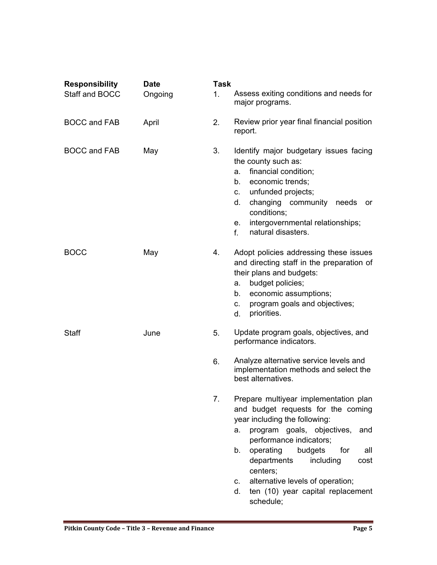| <b>Responsibility</b> | <b>Date</b> | <b>Task</b>    |                                                                                                                                                                                                                                                                                                                                                                                  |  |  |
|-----------------------|-------------|----------------|----------------------------------------------------------------------------------------------------------------------------------------------------------------------------------------------------------------------------------------------------------------------------------------------------------------------------------------------------------------------------------|--|--|
| Staff and BOCC        | Ongoing     | 1 <sub>1</sub> | Assess exiting conditions and needs for<br>major programs.                                                                                                                                                                                                                                                                                                                       |  |  |
| <b>BOCC and FAB</b>   | April       | 2.             | Review prior year final financial position<br>report.                                                                                                                                                                                                                                                                                                                            |  |  |
| <b>BOCC and FAB</b>   | May         | 3.             | Identify major budgetary issues facing<br>the county such as:<br>financial condition;<br>a.<br>economic trends;<br>b.<br>unfunded projects;<br>$C_{1}$<br>changing community needs<br>d.<br>or<br>conditions;<br>intergovernmental relationships;<br>е.<br>natural disasters.<br>$f_{\perp}$                                                                                     |  |  |
| <b>BOCC</b>           | May         | 4.             | Adopt policies addressing these issues<br>and directing staff in the preparation of<br>their plans and budgets:<br>budget policies;<br>a.<br>economic assumptions;<br>b.<br>program goals and objectives;<br>C.<br>priorities.<br>d.                                                                                                                                             |  |  |
| Staff                 | June        | 5.             | Update program goals, objectives, and<br>performance indicators.                                                                                                                                                                                                                                                                                                                 |  |  |
|                       |             | 6.             | Analyze alternative service levels and<br>implementation methods and select the<br>best alternatives.                                                                                                                                                                                                                                                                            |  |  |
|                       |             | 7.             | Prepare multiyear implementation plan<br>and budget requests for the coming<br>year including the following:<br>program goals, objectives,<br>and<br>а.<br>performance indicators;<br>operating<br>budgets<br>b.<br>for<br>all<br>departments<br>including<br>cost<br>centers;<br>alternative levels of operation;<br>C.<br>ten (10) year capital replacement<br>d.<br>schedule; |  |  |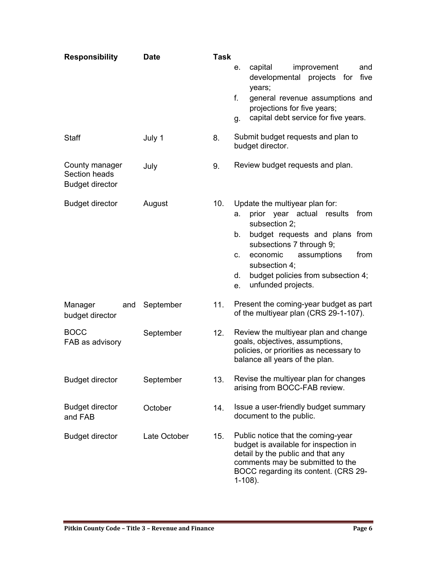| <b>Responsibility</b>                                     | <b>Date</b>  | <b>Task</b> |                                                                                                                                                                                                                                                                                                  |  |
|-----------------------------------------------------------|--------------|-------------|--------------------------------------------------------------------------------------------------------------------------------------------------------------------------------------------------------------------------------------------------------------------------------------------------|--|
|                                                           |              |             | improvement<br>capital<br>and<br>е.<br>developmental projects for<br>five<br>years;<br>f.<br>general revenue assumptions and<br>projections for five years;<br>capital debt service for five years.<br>g.                                                                                        |  |
| Staff                                                     | July 1       | 8.          | Submit budget requests and plan to<br>budget director.                                                                                                                                                                                                                                           |  |
| County manager<br>Section heads<br><b>Budget director</b> | July         | 9.          | Review budget requests and plan.                                                                                                                                                                                                                                                                 |  |
| <b>Budget director</b>                                    | August       | 10.         | Update the multiyear plan for:<br>prior year actual results<br>from<br>а.<br>subsection 2;<br>budget requests and plans from<br>b.<br>subsections 7 through 9;<br>economic<br>assumptions<br>from<br>C.<br>subsection 4;<br>budget policies from subsection 4;<br>d.<br>unfunded projects.<br>e. |  |
| Manager<br>and<br>budget director                         | September    | 11.         | Present the coming-year budget as part<br>of the multiyear plan (CRS 29-1-107).                                                                                                                                                                                                                  |  |
| <b>BOCC</b><br>FAB as advisory                            | September    | 12.         | Review the multiyear plan and change<br>goals, objectives, assumptions,<br>policies, or priorities as necessary to<br>balance all years of the plan.                                                                                                                                             |  |
| <b>Budget director</b>                                    | September    | 13.         | Revise the multiyear plan for changes<br>arising from BOCC-FAB review.                                                                                                                                                                                                                           |  |
| <b>Budget director</b><br>and FAB                         | October      | 14.         | Issue a user-friendly budget summary<br>document to the public.                                                                                                                                                                                                                                  |  |
| <b>Budget director</b>                                    | Late October | 15.         | Public notice that the coming-year<br>budget is available for inspection in<br>detail by the public and that any<br>comments may be submitted to the<br>BOCC regarding its content. (CRS 29-<br>$1-108$ ).                                                                                       |  |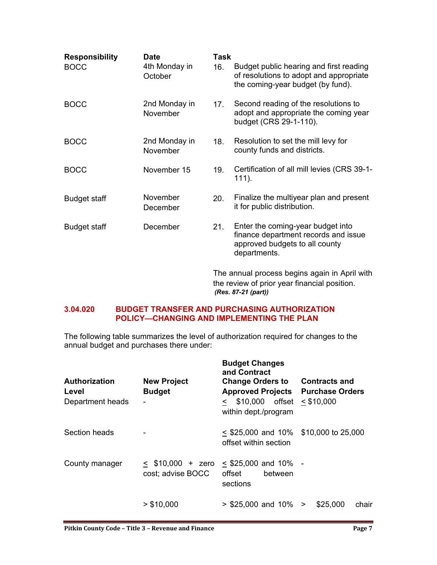| <b>Responsibility</b><br><b>BOCC</b> | <b>Date</b><br>4th Monday in<br>October | <b>Task</b><br>16. | Budget public hearing and first reading<br>of resolutions to adopt and appropriate<br>the coming-year budget (by fund).     |
|--------------------------------------|-----------------------------------------|--------------------|-----------------------------------------------------------------------------------------------------------------------------|
| <b>BOCC</b>                          | 2nd Monday in<br>November               | 17 <sub>1</sub>    | Second reading of the resolutions to<br>adopt and appropriate the coming year<br>budget (CRS 29-1-110).                     |
| <b>BOCC</b>                          | 2nd Monday in<br>November               | 18.                | Resolution to set the mill levy for<br>county funds and districts.                                                          |
| <b>BOCC</b>                          | November 15                             | 19.                | Certification of all mill levies (CRS 39-1-<br>$111$ ).                                                                     |
| <b>Budget staff</b>                  | November<br>December                    | 20.                | Finalize the multiyear plan and present<br>it for public distribution.                                                      |
| <b>Budget staff</b>                  | December                                | 21.                | Enter the coming-year budget into<br>finance department records and issue<br>approved budgets to all county<br>departments. |
|                                      |                                         |                    | The annual process begins again in April with<br>the review of prior year financial position.<br>(Res. 87-21 (part))        |

#### <span id="page-6-0"></span>**3.04.020 BUDGET TRANSFER AND PURCHASING AUTHORIZATION POLICY—CHANGING AND IMPLEMENTING THE PLAN**

The following table summarizes the level of authorization required for changes to the annual budget and purchases there under:

| <b>Authorization</b><br>Level<br>Department heads | <b>New Project</b><br><b>Budget</b>      | <b>Budget Changes</b><br>and Contract<br><b>Change Orders to Contracts and</b><br><b>Approved Projects Purchase Orders</b><br>$$10,000$ offset $< $10,000$<br>$\prec$ $\Box$<br>within dept./program |                   |
|---------------------------------------------------|------------------------------------------|------------------------------------------------------------------------------------------------------------------------------------------------------------------------------------------------------|-------------------|
| Section heads                                     |                                          | $\leq$ \$25,000 and 10% \$10,000 to 25,000<br>offset within section                                                                                                                                  |                   |
| County manager                                    | $<$ \$10,000 + zero<br>cost; advise BOCC | $\leq$ \$25,000 and 10% -<br>offset<br>between<br>sections                                                                                                                                           |                   |
|                                                   | > \$10,000                               | $>$ \$25,000 and 10% $>$                                                                                                                                                                             | \$25,000<br>chair |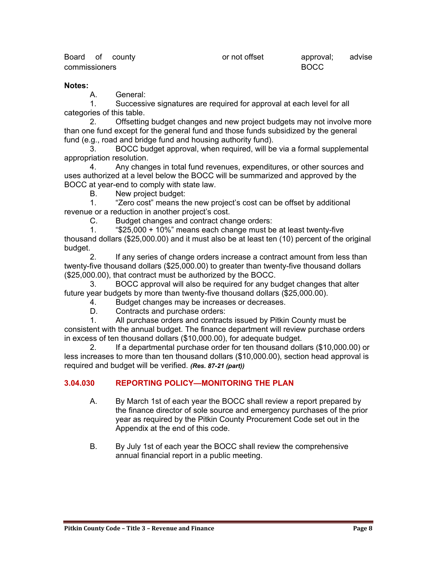| Board of county      |  | or not offset | approval;   | advise |
|----------------------|--|---------------|-------------|--------|
| <b>commissioners</b> |  |               | <b>BOCC</b> |        |

#### **Notes:**

A. General:

1. Successive signatures are required for approval at each level for all categories of this table.

2. Offsetting budget changes and new project budgets may not involve more than one fund except for the general fund and those funds subsidized by the general fund (e.g., road and bridge fund and housing authority fund).

3. BOCC budget approval, when required, will be via a formal supplemental appropriation resolution.

4. Any changes in total fund revenues, expenditures, or other sources and uses authorized at a level below the BOCC will be summarized and approved by the BOCC at year-end to comply with state law.

B. New project budget:

1. "Zero cost" means the new project's cost can be offset by additional revenue or a reduction in another project's cost.

C. Budget changes and contract change orders:

1. "\$25,000 + 10%" means each change must be at least twenty-five thousand dollars (\$25,000.00) and it must also be at least ten (10) percent of the original budget.

2. If any series of change orders increase a contract amount from less than twenty-five thousand dollars (\$25,000.00) to greater than twenty-five thousand dollars (\$25,000.00), that contract must be authorized by the BOCC.

3. BOCC approval will also be required for any budget changes that alter future year budgets by more than twenty-five thousand dollars (\$25,000.00).

4. Budget changes may be increases or decreases.

D. Contracts and purchase orders:

1. All purchase orders and contracts issued by Pitkin County must be consistent with the annual budget. The finance department will review purchase orders in excess of ten thousand dollars (\$10,000.00), for adequate budget.

2. If a departmental purchase order for ten thousand dollars (\$10,000.00) or less increases to more than ten thousand dollars (\$10,000.00), section head approval is required and budget will be verified. *(Res. 87-21 (part))*

#### <span id="page-7-0"></span>**3.04.030 REPORTING POLICY—MONITORING THE PLAN**

- A. By March 1st of each year the BOCC shall review a report prepared by the finance director of sole source and emergency purchases of the prior year as required by the Pitkin County Procurement Code set out in the Appendix at the end of this code.
- B. By July 1st of each year the BOCC shall review the comprehensive annual financial report in a public meeting.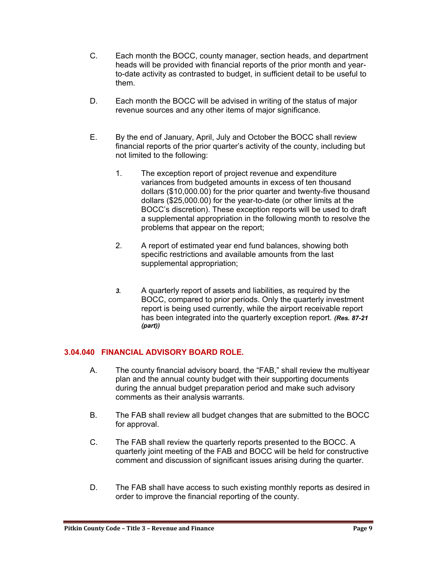- C. Each month the BOCC, county manager, section heads, and department heads will be provided with financial reports of the prior month and yearto-date activity as contrasted to budget, in sufficient detail to be useful to them.
- D. Each month the BOCC will be advised in writing of the status of major revenue sources and any other items of major significance.
- E. By the end of January, April, July and October the BOCC shall review financial reports of the prior quarter's activity of the county, including but not limited to the following:
	- 1. The exception report of project revenue and expenditure variances from budgeted amounts in excess of ten thousand dollars (\$10,000.00) for the prior quarter and twenty-five thousand dollars (\$25,000.00) for the year-to-date (or other limits at the BOCC's discretion). These exception reports will be used to draft a supplemental appropriation in the following month to resolve the problems that appear on the report;
	- 2. A report of estimated year end fund balances, showing both specific restrictions and available amounts from the last supplemental appropriation;
	- *3.* A quarterly report of assets and liabilities, as required by the BOCC, compared to prior periods. Only the quarterly investment report is being used currently, while the airport receivable report has been integrated into the quarterly exception report. *(Res. 87-21 (part))*

# <span id="page-8-0"></span>**3.04.040 FINANCIAL ADVISORY BOARD ROLE.**

- A. The county financial advisory board, the "FAB," shall review the multiyear plan and the annual county budget with their supporting documents during the annual budget preparation period and make such advisory comments as their analysis warrants.
- B. The FAB shall review all budget changes that are submitted to the BOCC for approval.
- C. The FAB shall review the quarterly reports presented to the BOCC. A quarterly joint meeting of the FAB and BOCC will be held for constructive comment and discussion of significant issues arising during the quarter.
- D. The FAB shall have access to such existing monthly reports as desired in order to improve the financial reporting of the county.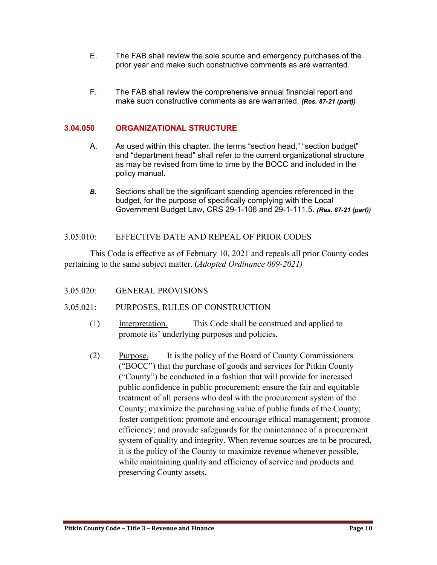- E. The FAB shall review the sole source and emergency purchases of the prior year and make such constructive comments as are warranted.
- F. The FAB shall review the comprehensive annual financial report and make such constructive comments as are warranted. *(Res. 87-21 (part))*

#### <span id="page-9-0"></span>**3.04.050 ORGANIZATIONAL STRUCTURE**

- A. As used within this chapter, the terms "section head," "section budget" and "department head" shall refer to the current organizational structure as may be revised from time to time by the BOCC and included in the policy manual.
- *B.* Sections shall be the significant spending agencies referenced in the budget, for the purpose of specifically complying with the Local Government Budget Law, CRS 29-1-106 and 29-1-111.5. *(Res. 87-21 (part))*

#### <span id="page-9-1"></span>3.05.010: EFFECTIVE DATE AND REPEAL OF PRIOR CODES

This Code is effective as of February 10, 2021 and repeals all prior County codes pertaining to the same subject matter. (*Adopted Ordinance 009-2021)*

<span id="page-9-2"></span>3.05.020: GENERAL PROVISIONS

#### <span id="page-9-3"></span>3.05.021: PURPOSES, RULES OF CONSTRUCTION

- (1) Interpretation. This Code shall be construed and applied to promote its' underlying purposes and policies.
- (2) Purpose. It is the policy of the Board of County Commissioners ("BOCC") that the purchase of goods and services for Pitkin County ("County") be conducted in a fashion that will provide for increased public confidence in public procurement; ensure the fair and equitable treatment of all persons who deal with the procurement system of the County; maximize the purchasing value of public funds of the County; foster competition; promote and encourage ethical management; promote efficiency; and provide safeguards for the maintenance of a procurement system of quality and integrity. When revenue sources are to be procured, it is the policy of the County to maximize revenue whenever possible, while maintaining quality and efficiency of service and products and preserving County assets.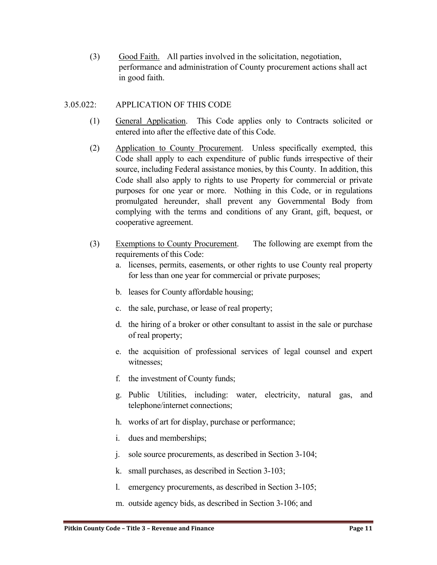(3) Good Faith. All parties involved in the solicitation, negotiation, performance and administration of County procurement actions shall act in good faith.

#### <span id="page-10-0"></span>3.05.022: APPLICATION OF THIS CODE

- (1) General Application. This Code applies only to Contracts solicited or entered into after the effective date of this Code.
- (2) Application to County Procurement. Unless specifically exempted, this Code shall apply to each expenditure of public funds irrespective of their source, including Federal assistance monies, by this County. In addition, this Code shall also apply to rights to use Property for commercial or private purposes for one year or more. Nothing in this Code, or in regulations promulgated hereunder, shall prevent any Governmental Body from complying with the terms and conditions of any Grant, gift, bequest, or cooperative agreement.
- (3) Exemptions to County Procurement. The following are exempt from the requirements of this Code:
	- a. licenses, permits, easements, or other rights to use County real property for less than one year for commercial or private purposes;
	- b. leases for County affordable housing;
	- c. the sale, purchase, or lease of real property;
	- d. the hiring of a broker or other consultant to assist in the sale or purchase of real property;
	- e. the acquisition of professional services of legal counsel and expert witnesses;
	- f. the investment of County funds;
	- g. Public Utilities, including: water, electricity, natural gas, and telephone/internet connections;
	- h. works of art for display, purchase or performance;
	- i. dues and memberships;
	- j. sole source procurements, as described in Section 3-104;
	- k. small purchases, as described in Section 3-103;
	- l. emergency procurements, as described in Section 3-105;
	- m. outside agency bids, as described in Section 3-106; and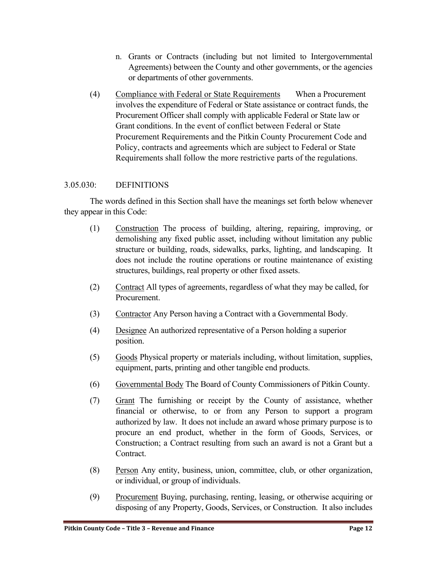- n. Grants or Contracts (including but not limited to Intergovernmental Agreements) between the County and other governments, or the agencies or departments of other governments.
- (4) Compliance with Federal or State Requirements When a Procurement involves the expenditure of Federal or State assistance or contract funds, the Procurement Officer shall comply with applicable Federal or State law or Grant conditions. In the event of conflict between Federal or State Procurement Requirements and the Pitkin County Procurement Code and Policy, contracts and agreements which are subject to Federal or State Requirements shall follow the more restrictive parts of the regulations.

# <span id="page-11-0"></span>3.05.030: DEFINITIONS

 The words defined in this Section shall have the meanings set forth below whenever they appear in this Code:

- (1) Construction The process of building, altering, repairing, improving, or demolishing any fixed public asset, including without limitation any public structure or building, roads, sidewalks, parks, lighting, and landscaping. It does not include the routine operations or routine maintenance of existing structures, buildings, real property or other fixed assets.
- (2) Contract All types of agreements, regardless of what they may be called, for Procurement.
- (3) Contractor Any Person having a Contract with a Governmental Body.
- (4) Designee An authorized representative of a Person holding a superior position.
- (5) Goods Physical property or materials including, without limitation, supplies, equipment, parts, printing and other tangible end products.
- (6) Governmental Body The Board of County Commissioners of Pitkin County.
- (7) Grant The furnishing or receipt by the County of assistance, whether financial or otherwise, to or from any Person to support a program authorized by law. It does not include an award whose primary purpose is to procure an end product, whether in the form of Goods, Services, or Construction; a Contract resulting from such an award is not a Grant but a Contract.
- (8) Person Any entity, business, union, committee, club, or other organization, or individual, or group of individuals.
- (9) Procurement Buying, purchasing, renting, leasing, or otherwise acquiring or disposing of any Property, Goods, Services, or Construction. It also includes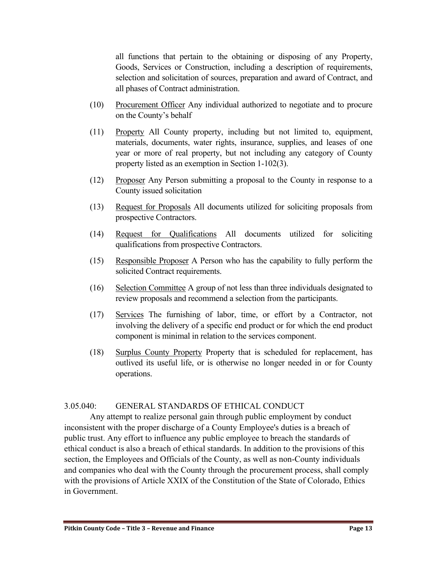all functions that pertain to the obtaining or disposing of any Property, Goods, Services or Construction, including a description of requirements, selection and solicitation of sources, preparation and award of Contract, and all phases of Contract administration.

- (10) Procurement Officer Any individual authorized to negotiate and to procure on the County's behalf
- (11) Property All County property, including but not limited to, equipment, materials, documents, water rights, insurance, supplies, and leases of one year or more of real property, but not including any category of County property listed as an exemption in Section 1-102(3).
- (12) Proposer Any Person submitting a proposal to the County in response to a County issued solicitation
- (13) Request for Proposals All documents utilized for soliciting proposals from prospective Contractors.
- (14) Request for Qualifications All documents utilized for soliciting qualifications from prospective Contractors.
- (15) Responsible Proposer A Person who has the capability to fully perform the solicited Contract requirements.
- (16) Selection Committee A group of not less than three individuals designated to review proposals and recommend a selection from the participants.
- (17) Services The furnishing of labor, time, or effort by a Contractor, not involving the delivery of a specific end product or for which the end product component is minimal in relation to the services component.
- (18) Surplus County Property Property that is scheduled for replacement, has outlived its useful life, or is otherwise no longer needed in or for County operations.

# <span id="page-12-0"></span>3.05.040: GENERAL STANDARDS OF ETHICAL CONDUCT

Any attempt to realize personal gain through public employment by conduct inconsistent with the proper discharge of a County Employee's duties is a breach of public trust. Any effort to influence any public employee to breach the standards of ethical conduct is also a breach of ethical standards. In addition to the provisions of this section, the Employees and Officials of the County, as well as non-County individuals and companies who deal with the County through the procurement process, shall comply with the provisions of Article XXIX of the Constitution of the State of Colorado, Ethics in Government.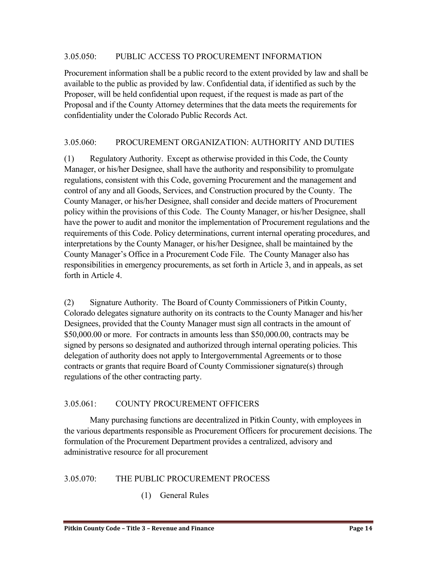#### <span id="page-13-0"></span>3.05.050: PUBLIC ACCESS TO PROCUREMENT INFORMATION

Procurement information shall be a public record to the extent provided by law and shall be available to the public as provided by law. Confidential data, if identified as such by the Proposer, will be held confidential upon request, if the request is made as part of the Proposal and if the County Attorney determines that the data meets the requirements for confidentiality under the Colorado Public Records Act.

# <span id="page-13-1"></span>3.05.060: PROCUREMENT ORGANIZATION: AUTHORITY AND DUTIES

(1) Regulatory Authority. Except as otherwise provided in this Code, the County Manager, or his/her Designee, shall have the authority and responsibility to promulgate regulations, consistent with this Code, governing Procurement and the management and control of any and all Goods, Services, and Construction procured by the County. The County Manager, or his/her Designee, shall consider and decide matters of Procurement policy within the provisions of this Code. The County Manager, or his/her Designee, shall have the power to audit and monitor the implementation of Procurement regulations and the requirements of this Code. Policy determinations, current internal operating procedures, and interpretations by the County Manager, or his/her Designee, shall be maintained by the County Manager's Office in a Procurement Code File. The County Manager also has responsibilities in emergency procurements, as set forth in Article 3, and in appeals, as set forth in Article 4.

(2) Signature Authority. The Board of County Commissioners of Pitkin County, Colorado delegates signature authority on its contracts to the County Manager and his/her Designees, provided that the County Manager must sign all contracts in the amount of \$50,000.00 or more. For contracts in amounts less than \$50,000.00, contracts may be signed by persons so designated and authorized through internal operating policies. This delegation of authority does not apply to Intergovernmental Agreements or to those contracts or grants that require Board of County Commissioner signature(s) through regulations of the other contracting party.

# <span id="page-13-2"></span>3.05.061: COUNTY PROCUREMENT OFFICERS

Many purchasing functions are decentralized in Pitkin County, with employees in the various departments responsible as Procurement Officers for procurement decisions. The formulation of the Procurement Department provides a centralized, advisory and administrative resource for all procurement

# <span id="page-13-3"></span>3.05.070: THE PUBLIC PROCUREMENT PROCESS

(1) General Rules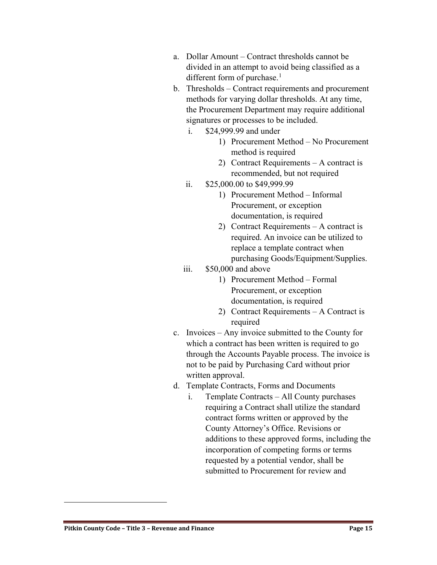- a. Dollar Amount Contract thresholds cannot be divided in an attempt to avoid being classified as a different form of purchase.<sup>[1](#page-14-0)</sup>
- b. Thresholds Contract requirements and procurement methods for varying dollar thresholds. At any time, the Procurement Department may require additional signatures or processes to be included.
	- i. \$24,999.99 and under
		- 1) Procurement Method No Procurement method is required
		- 2) Contract Requirements A contract is recommended, but not required
	- ii. \$25,000.00 to \$49,999.99
		- 1) Procurement Method Informal Procurement, or exception documentation, is required
		- 2) Contract Requirements A contract is required. An invoice can be utilized to replace a template contract when purchasing Goods/Equipment/Supplies.
	- iii. \$50,000 and above
		- 1) Procurement Method Formal Procurement, or exception documentation, is required
		- 2) Contract Requirements A Contract is required
- c. Invoices Any invoice submitted to the County for which a contract has been written is required to go through the Accounts Payable process. The invoice is not to be paid by Purchasing Card without prior written approval.
- d. Template Contracts, Forms and Documents
	- i. Template Contracts All County purchases requiring a Contract shall utilize the standard contract forms written or approved by the County Attorney's Office. Revisions or additions to these approved forms, including the incorporation of competing forms or terms requested by a potential vendor, shall be submitted to Procurement for review and

<span id="page-14-0"></span> $\overline{a}$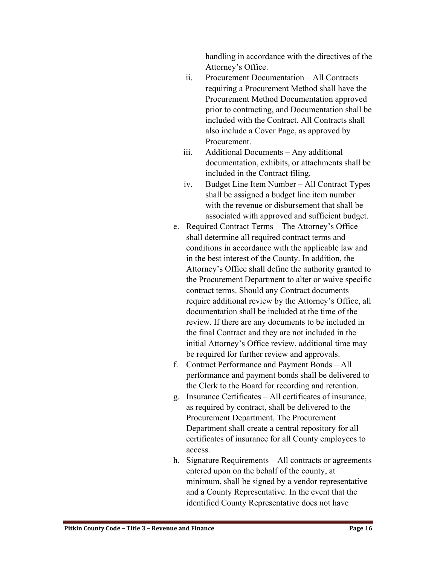handling in accordance with the directives of the Attorney's Office.

- ii. Procurement Documentation All Contracts requiring a Procurement Method shall have the Procurement Method Documentation approved prior to contracting, and Documentation shall be included with the Contract. All Contracts shall also include a Cover Page, as approved by Procurement.
- iii. Additional Documents Any additional documentation, exhibits, or attachments shall be included in the Contract filing.
- iv. Budget Line Item Number All Contract Types shall be assigned a budget line item number with the revenue or disbursement that shall be associated with approved and sufficient budget.
- e. Required Contract Terms The Attorney's Office shall determine all required contract terms and conditions in accordance with the applicable law and in the best interest of the County. In addition, the Attorney's Office shall define the authority granted to the Procurement Department to alter or waive specific contract terms. Should any Contract documents require additional review by the Attorney's Office, all documentation shall be included at the time of the review. If there are any documents to be included in the final Contract and they are not included in the initial Attorney's Office review, additional time may be required for further review and approvals.
- f. Contract Performance and Payment Bonds All performance and payment bonds shall be delivered to the Clerk to the Board for recording and retention.
- g. Insurance Certificates All certificates of insurance, as required by contract, shall be delivered to the Procurement Department. The Procurement Department shall create a central repository for all certificates of insurance for all County employees to access.
- h. Signature Requirements All contracts or agreements entered upon on the behalf of the county, at minimum, shall be signed by a vendor representative and a County Representative. In the event that the identified County Representative does not have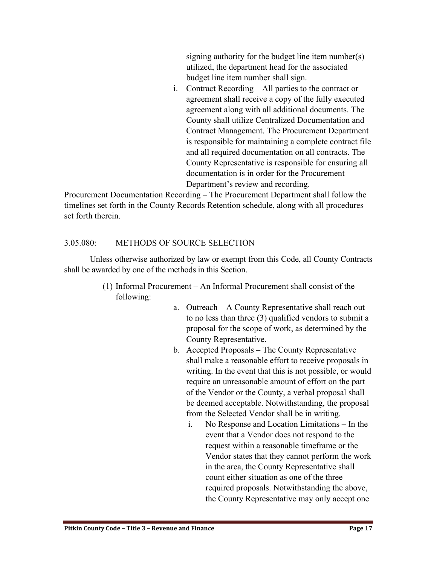signing authority for the budget line item number(s) utilized, the department head for the associated budget line item number shall sign.

i. Contract Recording – All parties to the contract or agreement shall receive a copy of the fully executed agreement along with all additional documents. The County shall utilize Centralized Documentation and Contract Management. The Procurement Department is responsible for maintaining a complete contract file and all required documentation on all contracts. The County Representative is responsible for ensuring all documentation is in order for the Procurement Department's review and recording.

Procurement Documentation Recording – The Procurement Department shall follow the timelines set forth in the County Records Retention schedule, along with all procedures set forth therein.

# <span id="page-16-0"></span>3.05.080: METHODS OF SOURCE SELECTION

Unless otherwise authorized by law or exempt from this Code, all County Contracts shall be awarded by one of the methods in this Section.

- (1) Informal Procurement An Informal Procurement shall consist of the following:
	- a. Outreach A County Representative shall reach out to no less than three (3) qualified vendors to submit a proposal for the scope of work, as determined by the County Representative.
	- b. Accepted Proposals The County Representative shall make a reasonable effort to receive proposals in writing. In the event that this is not possible, or would require an unreasonable amount of effort on the part of the Vendor or the County, a verbal proposal shall be deemed acceptable. Notwithstanding, the proposal from the Selected Vendor shall be in writing.
		- i. No Response and Location Limitations In the event that a Vendor does not respond to the request within a reasonable timeframe or the Vendor states that they cannot perform the work in the area, the County Representative shall count either situation as one of the three required proposals. Notwithstanding the above, the County Representative may only accept one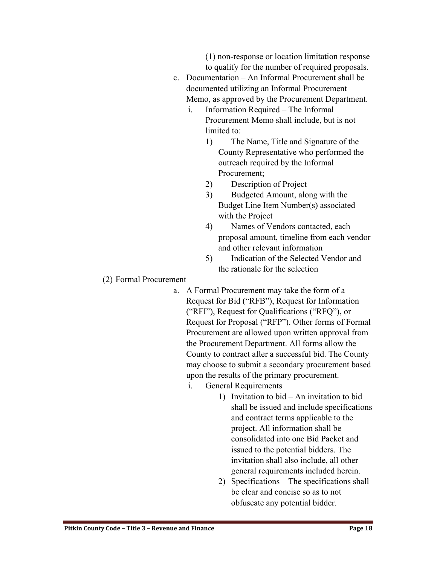(1) non-response or location limitation response to qualify for the number of required proposals.

- c. Documentation An Informal Procurement shall be documented utilizing an Informal Procurement Memo, as approved by the Procurement Department.
	- i. Information Required The Informal Procurement Memo shall include, but is not limited to:
		- 1) The Name, Title and Signature of the County Representative who performed the outreach required by the Informal Procurement;
		- 2) Description of Project
		- 3) Budgeted Amount, along with the Budget Line Item Number(s) associated with the Project
		- 4) Names of Vendors contacted, each proposal amount, timeline from each vendor and other relevant information
		- 5) Indication of the Selected Vendor and the rationale for the selection

#### (2) Formal Procurement

- a. A Formal Procurement may take the form of a Request for Bid ("RFB"), Request for Information ("RFI"), Request for Qualifications ("RFQ"), or Request for Proposal ("RFP"). Other forms of Formal Procurement are allowed upon written approval from the Procurement Department. All forms allow the County to contract after a successful bid. The County may choose to submit a secondary procurement based upon the results of the primary procurement.
	- i. General Requirements
		- 1) Invitation to bid An invitation to bid shall be issued and include specifications and contract terms applicable to the project. All information shall be consolidated into one Bid Packet and issued to the potential bidders. The invitation shall also include, all other general requirements included herein.
		- 2) Specifications The specifications shall be clear and concise so as to not obfuscate any potential bidder.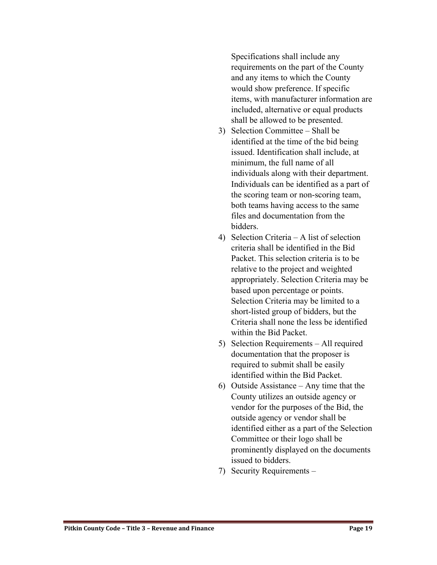Specifications shall include any requirements on the part of the County and any items to which the County would show preference. If specific items, with manufacturer information are included, alternative or equal products shall be allowed to be presented.

- 3) Selection Committee Shall be identified at the time of the bid being issued. Identification shall include, at minimum, the full name of all individuals along with their department. Individuals can be identified as a part of the scoring team or non-scoring team, both teams having access to the same files and documentation from the bidders.
- 4) Selection Criteria A list of selection criteria shall be identified in the Bid Packet. This selection criteria is to be relative to the project and weighted appropriately. Selection Criteria may be based upon percentage or points. Selection Criteria may be limited to a short-listed group of bidders, but the Criteria shall none the less be identified within the Bid Packet.
- 5) Selection Requirements All required documentation that the proposer is required to submit shall be easily identified within the Bid Packet.
- 6) Outside Assistance Any time that the County utilizes an outside agency or vendor for the purposes of the Bid, the outside agency or vendor shall be identified either as a part of the Selection Committee or their logo shall be prominently displayed on the documents issued to bidders.
- 7) Security Requirements –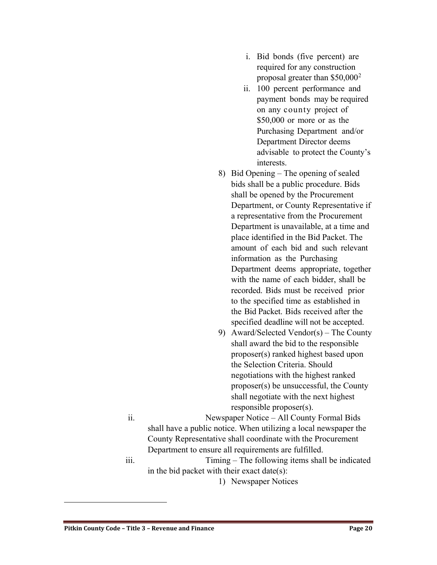- i. Bid bonds (five percent) are required for any construction proposal greater than  $$50,000^2$  $$50,000^2$
- ii. 100 percent performance and payment bonds may be required on any county project of \$50,000 or more or as the Purchasing Department and/or Department Director deems advisable to protect the County's interests.
- 8) Bid Opening The opening of sealed bids shall be a public procedure. Bids shall be opened by the Procurement Department, or County Representative if a representative from the Procurement Department is unavailable, at a time and place identified in the Bid Packet. The amount of each bid and such relevant information as the Purchasing Department deems appropriate, together with the name of each bidder, shall be recorded. Bids must be received prior to the specified time as established in the Bid Packet. Bids received after the specified deadline will not be accepted.
- 9) Award/Selected Vendor(s) The County shall award the bid to the responsible proposer(s) ranked highest based upon the Selection Criteria. Should negotiations with the highest ranked proposer(s) be unsuccessful, the County shall negotiate with the next highest responsible proposer(s).
- ii. Newspaper Notice All County Formal Bids shall have a public notice. When utilizing a local newspaper the County Representative shall coordinate with the Procurement Department to ensure all requirements are fulfilled.
- iii. Timing The following items shall be indicated in the bid packet with their exact date(s):
	- 1) Newspaper Notices

<span id="page-19-0"></span> $\overline{a}$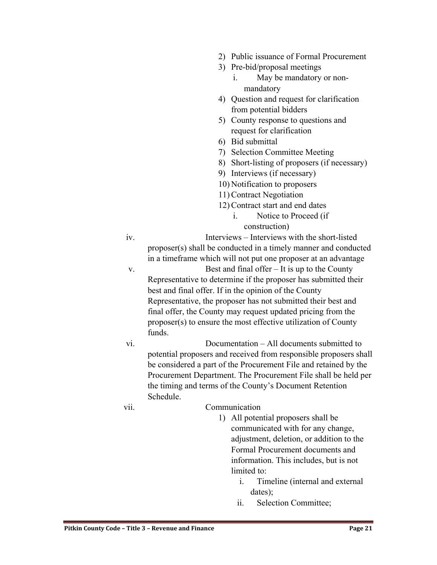- 2) Public issuance of Formal Procurement
- 3) Pre-bid/proposal meetings
	- i. May be mandatory or nonmandatory
- 4) Question and request for clarification from potential bidders
- 5) County response to questions and request for clarification
- 6) Bid submittal
- 7) Selection Committee Meeting
- 8) Short-listing of proposers (if necessary)
- 9) Interviews (if necessary)
- 10) Notification to proposers
- 11) Contract Negotiation
- 12) Contract start and end dates
	- i. Notice to Proceed (if construction)

iv. Interviews – Interviews with the short-listed proposer(s) shall be conducted in a timely manner and conducted in a timeframe which will not put one proposer at an advantage

v. Best and final offer – It is up to the County Representative to determine if the proposer has submitted their best and final offer. If in the opinion of the County Representative, the proposer has not submitted their best and final offer, the County may request updated pricing from the proposer(s) to ensure the most effective utilization of County funds.

vi. Documentation – All documents submitted to potential proposers and received from responsible proposers shall be considered a part of the Procurement File and retained by the Procurement Department. The Procurement File shall be held per the timing and terms of the County's Document Retention Schedule.

#### vii. Communication

- 1) All potential proposers shall be communicated with for any change, adjustment, deletion, or addition to the Formal Procurement documents and information. This includes, but is not limited to:
	- i. Timeline (internal and external dates);
	- ii. Selection Committee;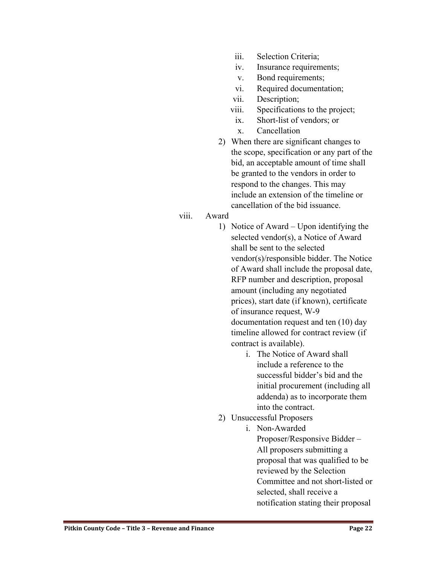- iii. Selection Criteria;
- iv. Insurance requirements;
- v. Bond requirements;
- vi. Required documentation;
- vii. Description;
- viii. Specifications to the project;
- ix. Short-list of vendors; or
- x. Cancellation
- 2) When there are significant changes to the scope, specification or any part of the bid, an acceptable amount of time shall be granted to the vendors in order to respond to the changes. This may include an extension of the timeline or cancellation of the bid issuance.
- viii. Award
	- 1) Notice of Award Upon identifying the selected vendor(s), a Notice of Award shall be sent to the selected vendor(s)/responsible bidder. The Notice of Award shall include the proposal date, RFP number and description, proposal amount (including any negotiated prices), start date (if known), certificate of insurance request, W-9 documentation request and ten (10) day timeline allowed for contract review (if contract is available).
		- i. The Notice of Award shall include a reference to the successful bidder's bid and the initial procurement (including all addenda) as to incorporate them into the contract.
	- 2) Unsuccessful Proposers
		- i. Non-Awarded Proposer/Responsive Bidder – All proposers submitting a proposal that was qualified to be reviewed by the Selection Committee and not short-listed or selected, shall receive a notification stating their proposal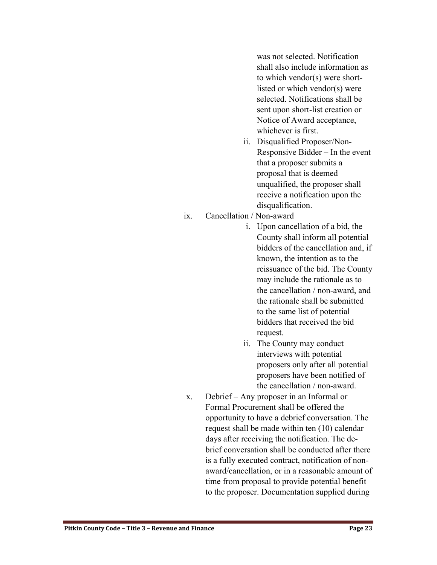was not selected. Notification shall also include information as to which vendor(s) were shortlisted or which vendor(s) were selected. Notifications shall be sent upon short-list creation or Notice of Award acceptance, whichever is first.

- ii. Disqualified Proposer/Non-Responsive Bidder – In the event that a proposer submits a proposal that is deemed unqualified, the proposer shall receive a notification upon the disqualification.
- ix. Cancellation / Non-award
	- i. Upon cancellation of a bid, the County shall inform all potential bidders of the cancellation and, if known, the intention as to the reissuance of the bid. The County may include the rationale as to the cancellation / non-award, and the rationale shall be submitted to the same list of potential bidders that received the bid request.
	- ii. The County may conduct interviews with potential proposers only after all potential proposers have been notified of the cancellation / non-award.
- x. Debrief Any proposer in an Informal or Formal Procurement shall be offered the opportunity to have a debrief conversation. The request shall be made within ten (10) calendar days after receiving the notification. The debrief conversation shall be conducted after there is a fully executed contract, notification of nonaward/cancellation, or in a reasonable amount of time from proposal to provide potential benefit to the proposer. Documentation supplied during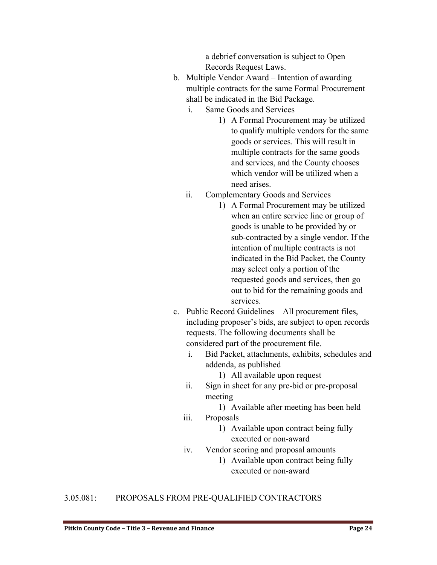a debrief conversation is subject to Open Records Request Laws.

- b. Multiple Vendor Award Intention of awarding multiple contracts for the same Formal Procurement shall be indicated in the Bid Package.
	- i. Same Goods and Services
		- 1) A Formal Procurement may be utilized to qualify multiple vendors for the same goods or services. This will result in multiple contracts for the same goods and services, and the County chooses which vendor will be utilized when a need arises.
	- ii. Complementary Goods and Services
		- 1) A Formal Procurement may be utilized when an entire service line or group of goods is unable to be provided by or sub-contracted by a single vendor. If the intention of multiple contracts is not indicated in the Bid Packet, the County may select only a portion of the requested goods and services, then go out to bid for the remaining goods and services.
- c. Public Record Guidelines All procurement files, including proposer's bids, are subject to open records requests. The following documents shall be considered part of the procurement file.
	- i. Bid Packet, attachments, exhibits, schedules and addenda, as published

1) All available upon request

- ii. Sign in sheet for any pre-bid or pre-proposal meeting
	- 1) Available after meeting has been held
- iii. Proposals
	- 1) Available upon contract being fully executed or non-award
- iv. Vendor scoring and proposal amounts
	- 1) Available upon contract being fully executed or non-award

# <span id="page-23-0"></span>3.05.081: PROPOSALS FROM PRE-QUALIFIED CONTRACTORS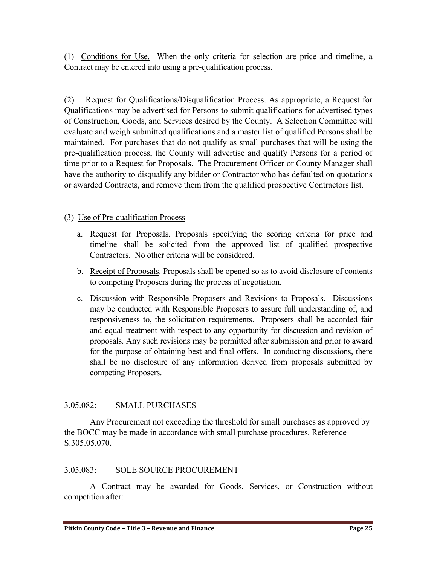(1) Conditions for Use. When the only criteria for selection are price and timeline, a Contract may be entered into using a pre-qualification process.

(2) Request for Qualifications/Disqualification Process. As appropriate, a Request for Qualifications may be advertised for Persons to submit qualifications for advertised types of Construction, Goods, and Services desired by the County. A Selection Committee will evaluate and weigh submitted qualifications and a master list of qualified Persons shall be maintained. For purchases that do not qualify as small purchases that will be using the pre-qualification process, the County will advertise and qualify Persons for a period of time prior to a Request for Proposals. The Procurement Officer or County Manager shall have the authority to disqualify any bidder or Contractor who has defaulted on quotations or awarded Contracts, and remove them from the qualified prospective Contractors list.

# (3) Use of Pre-qualification Process

- a. Request for Proposals. Proposals specifying the scoring criteria for price and timeline shall be solicited from the approved list of qualified prospective Contractors. No other criteria will be considered.
- b. Receipt of Proposals. Proposals shall be opened so as to avoid disclosure of contents to competing Proposers during the process of negotiation.
- c. Discussion with Responsible Proposers and Revisions to Proposals. Discussions may be conducted with Responsible Proposers to assure full understanding of, and responsiveness to, the solicitation requirements. Proposers shall be accorded fair and equal treatment with respect to any opportunity for discussion and revision of proposals. Any such revisions may be permitted after submission and prior to award for the purpose of obtaining best and final offers. In conducting discussions, there shall be no disclosure of any information derived from proposals submitted by competing Proposers.

# <span id="page-24-0"></span>3.05.082: SMALL PURCHASES

Any Procurement not exceeding the threshold for small purchases as approved by the BOCC may be made in accordance with small purchase procedures. Reference S.305.05.070.

#### <span id="page-24-1"></span>3.05.083: SOLE SOURCE PROCUREMENT

A Contract may be awarded for Goods, Services, or Construction without competition after: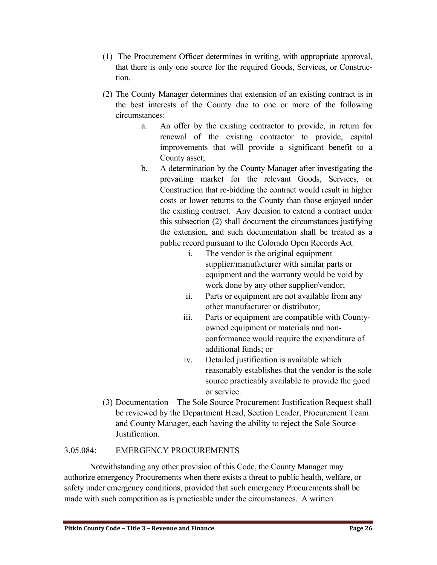- (1) The Procurement Officer determines in writing, with appropriate approval, that there is only one source for the required Goods, Services, or Construction.
- (2) The County Manager determines that extension of an existing contract is in the best interests of the County due to one or more of the following circumstances:
	- a. An offer by the existing contractor to provide, in return for renewal of the existing contractor to provide, capital improvements that will provide a significant benefit to a County asset;
	- b. A determination by the County Manager after investigating the prevailing market for the relevant Goods, Services, or Construction that re-bidding the contract would result in higher costs or lower returns to the County than those enjoyed under the existing contract. Any decision to extend a contract under this subsection (2) shall document the circumstances justifying the extension, and such documentation shall be treated as a public record pursuant to the Colorado Open Records Act.
		- i. The vendor is the original equipment supplier/manufacturer with similar parts or equipment and the warranty would be void by work done by any other supplier/vendor;
		- ii. Parts or equipment are not available from any other manufacturer or distributor;
		- iii. Parts or equipment are compatible with Countyowned equipment or materials and nonconformance would require the expenditure of additional funds; or
		- iv. Detailed justification is available which reasonably establishes that the vendor is the sole source practicably available to provide the good or service.
- (3) Documentation The Sole Source Procurement Justification Request shall be reviewed by the Department Head, Section Leader, Procurement Team and County Manager, each having the ability to reject the Sole Source Justification.

# <span id="page-25-0"></span>3.05.084: EMERGENCY PROCUREMENTS

Notwithstanding any other provision of this Code, the County Manager may authorize emergency Procurements when there exists a threat to public health, welfare, or safety under emergency conditions, provided that such emergency Procurements shall be made with such competition as is practicable under the circumstances. A written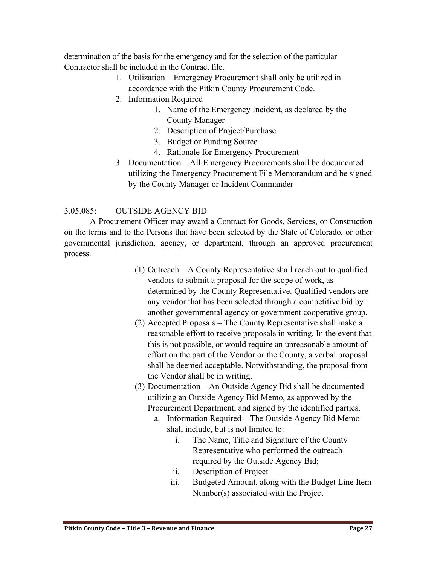determination of the basis for the emergency and for the selection of the particular Contractor shall be included in the Contract file.

- 1. Utilization Emergency Procurement shall only be utilized in accordance with the Pitkin County Procurement Code.
- 2. Information Required
	- 1. Name of the Emergency Incident, as declared by the County Manager
	- 2. Description of Project/Purchase
	- 3. Budget or Funding Source
	- 4. Rationale for Emergency Procurement
- 3. Documentation All Emergency Procurements shall be documented utilizing the Emergency Procurement File Memorandum and be signed by the County Manager or Incident Commander

# <span id="page-26-0"></span>3.05.085: OUTSIDE AGENCY BID

A Procurement Officer may award a Contract for Goods, Services, or Construction on the terms and to the Persons that have been selected by the State of Colorado, or other governmental jurisdiction, agency, or department, through an approved procurement process.

- (1) Outreach A County Representative shall reach out to qualified vendors to submit a proposal for the scope of work, as determined by the County Representative. Qualified vendors are any vendor that has been selected through a competitive bid by another governmental agency or government cooperative group.
- (2) Accepted Proposals The County Representative shall make a reasonable effort to receive proposals in writing. In the event that this is not possible, or would require an unreasonable amount of effort on the part of the Vendor or the County, a verbal proposal shall be deemed acceptable. Notwithstanding, the proposal from the Vendor shall be in writing.
- (3) Documentation An Outside Agency Bid shall be documented utilizing an Outside Agency Bid Memo, as approved by the Procurement Department, and signed by the identified parties.
	- a. Information Required The Outside Agency Bid Memo shall include, but is not limited to:
		- i. The Name, Title and Signature of the County Representative who performed the outreach required by the Outside Agency Bid;
		- ii. Description of Project
		- iii. Budgeted Amount, along with the Budget Line Item Number(s) associated with the Project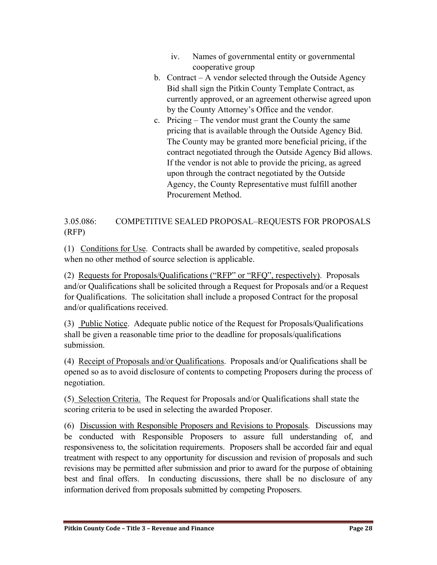- iv. Names of governmental entity or governmental cooperative group
- b. Contract A vendor selected through the Outside Agency Bid shall sign the Pitkin County Template Contract, as currently approved, or an agreement otherwise agreed upon by the County Attorney's Office and the vendor.
- c. Pricing The vendor must grant the County the same pricing that is available through the Outside Agency Bid. The County may be granted more beneficial pricing, if the contract negotiated through the Outside Agency Bid allows. If the vendor is not able to provide the pricing, as agreed upon through the contract negotiated by the Outside Agency, the County Representative must fulfill another Procurement Method.

<span id="page-27-0"></span>3.05.086: COMPETITIVE SEALED PROPOSAL–REQUESTS FOR PROPOSALS (RFP)

(1) Conditions for Use. Contracts shall be awarded by competitive, sealed proposals when no other method of source selection is applicable.

(2) Requests for Proposals/Qualifications ("RFP" or "RFQ", respectively). Proposals and/or Qualifications shall be solicited through a Request for Proposals and/or a Request for Qualifications. The solicitation shall include a proposed Contract for the proposal and/or qualifications received.

(3) Public Notice. Adequate public notice of the Request for Proposals/Qualifications shall be given a reasonable time prior to the deadline for proposals/qualifications submission.

(4) Receipt of Proposals and/or Qualifications. Proposals and/or Qualifications shall be opened so as to avoid disclosure of contents to competing Proposers during the process of negotiation.

(5) Selection Criteria. The Request for Proposals and/or Qualifications shall state the scoring criteria to be used in selecting the awarded Proposer.

(6) Discussion with Responsible Proposers and Revisions to Proposals. Discussions may be conducted with Responsible Proposers to assure full understanding of, and responsiveness to, the solicitation requirements. Proposers shall be accorded fair and equal treatment with respect to any opportunity for discussion and revision of proposals and such revisions may be permitted after submission and prior to award for the purpose of obtaining best and final offers. In conducting discussions, there shall be no disclosure of any information derived from proposals submitted by competing Proposers.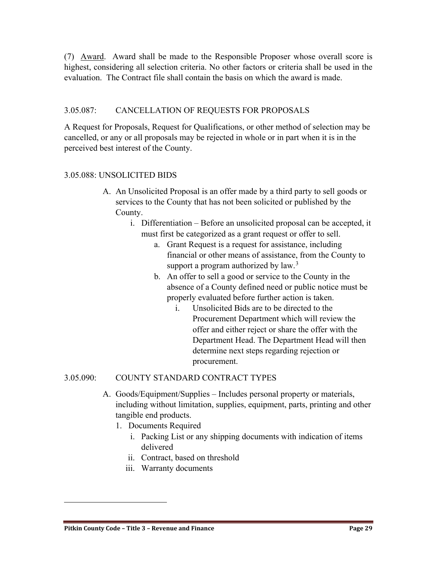(7) Award. Award shall be made to the Responsible Proposer whose overall score is highest, considering all selection criteria. No other factors or criteria shall be used in the evaluation. The Contract file shall contain the basis on which the award is made.

# <span id="page-28-0"></span>3.05.087: CANCELLATION OF REQUESTS FOR PROPOSALS

A Request for Proposals, Request for Qualifications, or other method of selection may be cancelled, or any or all proposals may be rejected in whole or in part when it is in the perceived best interest of the County.

# <span id="page-28-1"></span>3.05.088: UNSOLICITED BIDS

- A. An Unsolicited Proposal is an offer made by a third party to sell goods or services to the County that has not been solicited or published by the County.
	- i. Differentiation Before an unsolicited proposal can be accepted, it must first be categorized as a grant request or offer to sell.
		- a. Grant Request is a request for assistance, including financial or other means of assistance, from the County to support a program authorized by  $law^3$  $law^3$ .
		- b. An offer to sell a good or service to the County in the absence of a County defined need or public notice must be properly evaluated before further action is taken.
			- i. Unsolicited Bids are to be directed to the Procurement Department which will review the offer and either reject or share the offer with the Department Head. The Department Head will then determine next steps regarding rejection or procurement.

# <span id="page-28-2"></span>3.05.090: COUNTY STANDARD CONTRACT TYPES

- A. Goods/Equipment/Supplies Includes personal property or materials, including without limitation, supplies, equipment, parts, printing and other tangible end products.
	- 1. Documents Required
		- i. Packing List or any shipping documents with indication of items delivered
		- ii. Contract, based on threshold
		- iii. Warranty documents

<span id="page-28-3"></span> $\overline{a}$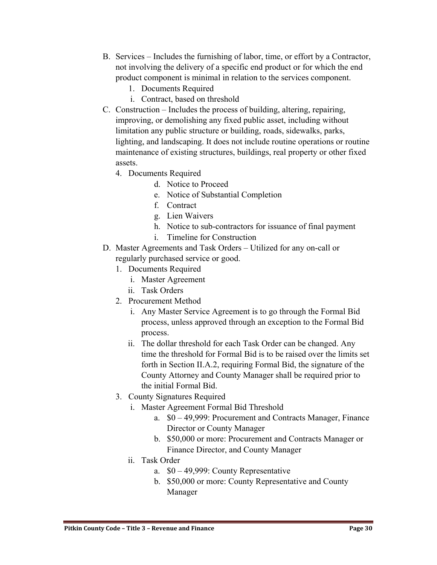- B. Services Includes the furnishing of labor, time, or effort by a Contractor, not involving the delivery of a specific end product or for which the end product component is minimal in relation to the services component.
	- 1. Documents Required
	- i. Contract, based on threshold
- C. Construction Includes the process of building, altering, repairing, improving, or demolishing any fixed public asset, including without limitation any public structure or building, roads, sidewalks, parks, lighting, and landscaping. It does not include routine operations or routine maintenance of existing structures, buildings, real property or other fixed assets.
	- 4. Documents Required
		- d. Notice to Proceed
		- e. Notice of Substantial Completion
		- f. Contract
		- g. Lien Waivers
		- h. Notice to sub-contractors for issuance of final payment
		- i. Timeline for Construction
- D. Master Agreements and Task Orders Utilized for any on-call or regularly purchased service or good.
	- 1. Documents Required
		- i. Master Agreement
		- ii. Task Orders
	- 2. Procurement Method
		- i. Any Master Service Agreement is to go through the Formal Bid process, unless approved through an exception to the Formal Bid process.
		- ii. The dollar threshold for each Task Order can be changed. Any time the threshold for Formal Bid is to be raised over the limits set forth in Section II.A.2, requiring Formal Bid, the signature of the County Attorney and County Manager shall be required prior to the initial Formal Bid.
	- 3. County Signatures Required
		- i. Master Agreement Formal Bid Threshold
			- a. \$0 49,999: Procurement and Contracts Manager, Finance Director or County Manager
			- b. \$50,000 or more: Procurement and Contracts Manager or Finance Director, and County Manager
		- ii. Task Order
			- a. \$0 49,999: County Representative
			- b. \$50,000 or more: County Representative and County Manager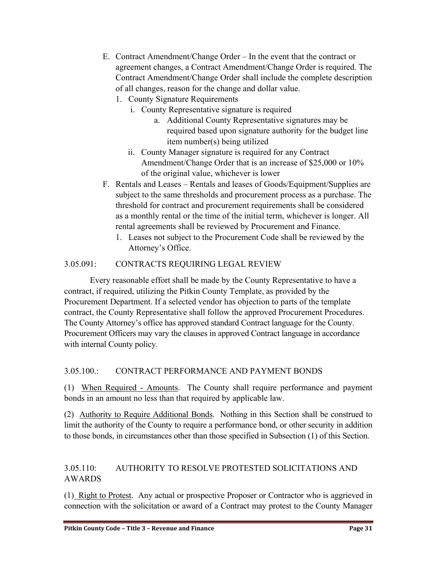- E. Contract Amendment/Change Order In the event that the contract or agreement changes, a Contract Amendment/Change Order is required. The Contract Amendment/Change Order shall include the complete description of all changes, reason for the change and dollar value.
	- 1. County Signature Requirements
		- i. County Representative signature is required
			- a. Additional County Representative signatures may be required based upon signature authority for the budget line item number(s) being utilized
		- ii. County Manager signature is required for any Contract Amendment/Change Order that is an increase of \$25,000 or 10% of the original value, whichever is lower
- F. Rentals and Leases Rentals and leases of Goods/Equipment/Supplies are subject to the same thresholds and procurement process as a purchase. The threshold for contract and procurement requirements shall be considered as a monthly rental or the time of the initial term, whichever is longer. All rental agreements shall be reviewed by Procurement and Finance.
	- 1. Leases not subject to the Procurement Code shall be reviewed by the Attorney's Office.

# <span id="page-30-0"></span>3.05.091: CONTRACTS REQUIRING LEGAL REVIEW

Every reasonable effort shall be made by the County Representative to have a contract, if required, utilizing the Pitkin County Template, as provided by the Procurement Department. If a selected vendor has objection to parts of the template contract, the County Representative shall follow the approved Procurement Procedures. The County Attorney's office has approved standard Contract language for the County. Procurement Officers may vary the clauses in approved Contract language in accordance with internal County policy.

# <span id="page-30-1"></span>3.05.100.: CONTRACT PERFORMANCE AND PAYMENT BONDS

(1) When Required - Amounts. The County shall require performance and payment bonds in an amount no less than that required by applicable law.

(2) Authority to Require Additional Bonds. Nothing in this Section shall be construed to limit the authority of the County to require a performance bond, or other security in addition to those bonds, in circumstances other than those specified in Subsection (1) of this Section.

# <span id="page-30-2"></span>3.05.110: AUTHORITY TO RESOLVE PROTESTED SOLICITATIONS AND AWARDS

(1) Right to Protest. Any actual or prospective Proposer or Contractor who is aggrieved in connection with the solicitation or award of a Contract may protest to the County Manager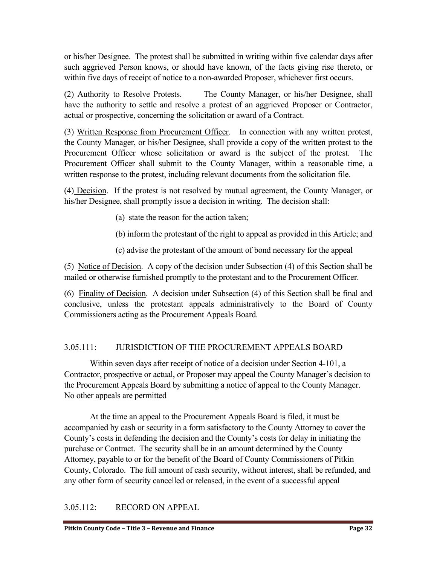or his/her Designee. The protest shall be submitted in writing within five calendar days after such aggrieved Person knows, or should have known, of the facts giving rise thereto, or within five days of receipt of notice to a non-awarded Proposer, whichever first occurs.

(2) Authority to Resolve Protests. The County Manager, or his/her Designee, shall have the authority to settle and resolve a protest of an aggrieved Proposer or Contractor, actual or prospective, concerning the solicitation or award of a Contract.

(3) Written Response from Procurement Officer. In connection with any written protest, the County Manager, or his/her Designee, shall provide a copy of the written protest to the Procurement Officer whose solicitation or award is the subject of the protest. The Procurement Officer shall submit to the County Manager, within a reasonable time, a written response to the protest, including relevant documents from the solicitation file.

(4) Decision. If the protest is not resolved by mutual agreement, the County Manager, or his/her Designee, shall promptly issue a decision in writing. The decision shall:

- (a) state the reason for the action taken;
- (b) inform the protestant of the right to appeal as provided in this Article; and
- (c) advise the protestant of the amount of bond necessary for the appeal

(5) Notice of Decision. A copy of the decision under Subsection (4) of this Section shall be mailed or otherwise furnished promptly to the protestant and to the Procurement Officer.

(6) Finality of Decision. A decision under Subsection (4) of this Section shall be final and conclusive, unless the protestant appeals administratively to the Board of County Commissioners acting as the Procurement Appeals Board.

# <span id="page-31-0"></span>3.05.111: JURISDICTION OF THE PROCUREMENT APPEALS BOARD

Within seven days after receipt of notice of a decision under Section 4-101, a Contractor, prospective or actual, or Proposer may appeal the County Manager's decision to the Procurement Appeals Board by submitting a notice of appeal to the County Manager. No other appeals are permitted

At the time an appeal to the Procurement Appeals Board is filed, it must be accompanied by cash or security in a form satisfactory to the County Attorney to cover the County's costs in defending the decision and the County's costs for delay in initiating the purchase or Contract. The security shall be in an amount determined by the County Attorney, payable to or for the benefit of the Board of County Commissioners of Pitkin County, Colorado. The full amount of cash security, without interest, shall be refunded, and any other form of security cancelled or released, in the event of a successful appeal

# <span id="page-31-1"></span>3.05.112: RECORD ON APPEAL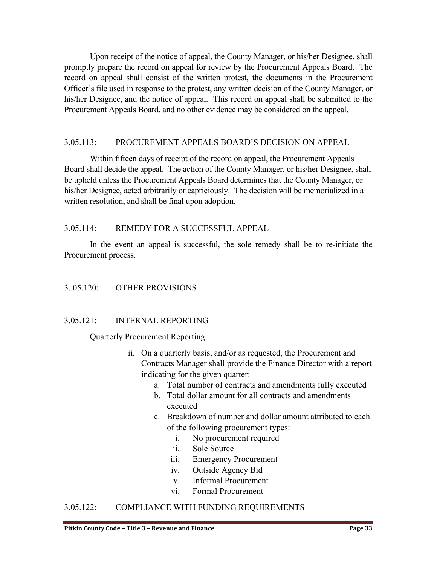Upon receipt of the notice of appeal, the County Manager, or his/her Designee, shall promptly prepare the record on appeal for review by the Procurement Appeals Board. The record on appeal shall consist of the written protest, the documents in the Procurement Officer's file used in response to the protest, any written decision of the County Manager, or his/her Designee, and the notice of appeal. This record on appeal shall be submitted to the Procurement Appeals Board, and no other evidence may be considered on the appeal.

#### <span id="page-32-0"></span>3.05.113: PROCUREMENT APPEALS BOARD'S DECISION ON APPEAL

 Within fifteen days of receipt of the record on appeal, the Procurement Appeals Board shall decide the appeal. The action of the County Manager, or his/her Designee, shall be upheld unless the Procurement Appeals Board determines that the County Manager, or his/her Designee, acted arbitrarily or capriciously. The decision will be memorialized in a written resolution, and shall be final upon adoption.

#### <span id="page-32-1"></span>3.05.114: REMEDY FOR A SUCCESSFUL APPEAL

In the event an appeal is successful, the sole remedy shall be to re-initiate the Procurement process.

#### <span id="page-32-2"></span>3..05.120: OTHER PROVISIONS

#### <span id="page-32-3"></span>3.05.121: INTERNAL REPORTING

#### Quarterly Procurement Reporting

- ii. On a quarterly basis, and/or as requested, the Procurement and Contracts Manager shall provide the Finance Director with a report indicating for the given quarter:
	- a. Total number of contracts and amendments fully executed
	- b. Total dollar amount for all contracts and amendments executed
	- c. Breakdown of number and dollar amount attributed to each of the following procurement types:
		- i. No procurement required
		- ii. Sole Source
		- iii. Emergency Procurement
		- iv. Outside Agency Bid
		- v. Informal Procurement
		- vi. Formal Procurement

#### <span id="page-32-4"></span>3.05.122: COMPLIANCE WITH FUNDING REQUIREMENTS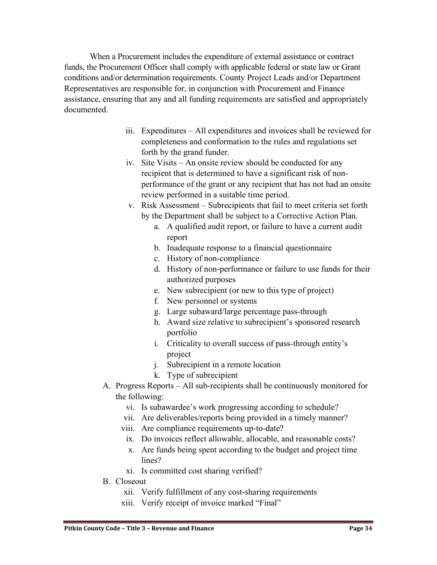When a Procurement includes the expenditure of external assistance or contract funds, the Procurement Officer shall comply with applicable federal or state law or Grant conditions and/or determination requirements. County Project Leads and/or Department Representatives are responsible for, in conjunction with Procurement and Finance assistance, ensuring that any and all funding requirements are satisfied and appropriately documented.

- iii. Expenditures All expenditures and invoices shall be reviewed for completeness and conformation to the rules and regulations set forth by the grand funder.
- iv. Site Visits An onsite review should be conducted for any recipient that is determined to have a significant risk of nonperformance of the grant or any recipient that has not had an onsite review performed in a suitable time period.
- v. Risk Assessment Subrecipients that fail to meet criteria set forth by the Department shall be subject to a Corrective Action Plan.
	- a. A qualified audit report, or failure to have a current audit report
	- b. Inadequate response to a financial questionnaire
	- c. History of non-compliance
	- d. History of non-performance or failure to use funds for their authorized purposes
	- e. New subrecipient (or new to this type of project)
	- f. New personnel or systems
	- g. Large subaward/large percentage pass-through
	- h. Award size relative to subrecipient's sponsored research portfolio
	- i. Criticality to overall success of pass-through entity's project
	- j. Subrecipient in a remote location
	- k. Type of subrecipient
- A. Progress Reports All sub-recipients shall be continuously monitored for the following:
	- vi. Is subawardee's work progressing according to schedule?
	- vii. Are deliverables/reports being provided in a timely manner?
	- viii. Are compliance requirements up-to-date?
	- ix. Do invoices reflect allowable, allocable, and reasonable costs?
	- x. Are funds being spent according to the budget and project time lines?
	- xi. Is committed cost sharing verified?
- B. Closeout
	- xii. Verify fulfillment of any cost-sharing requirements
	- xiii. Verify receipt of invoice marked "Final"